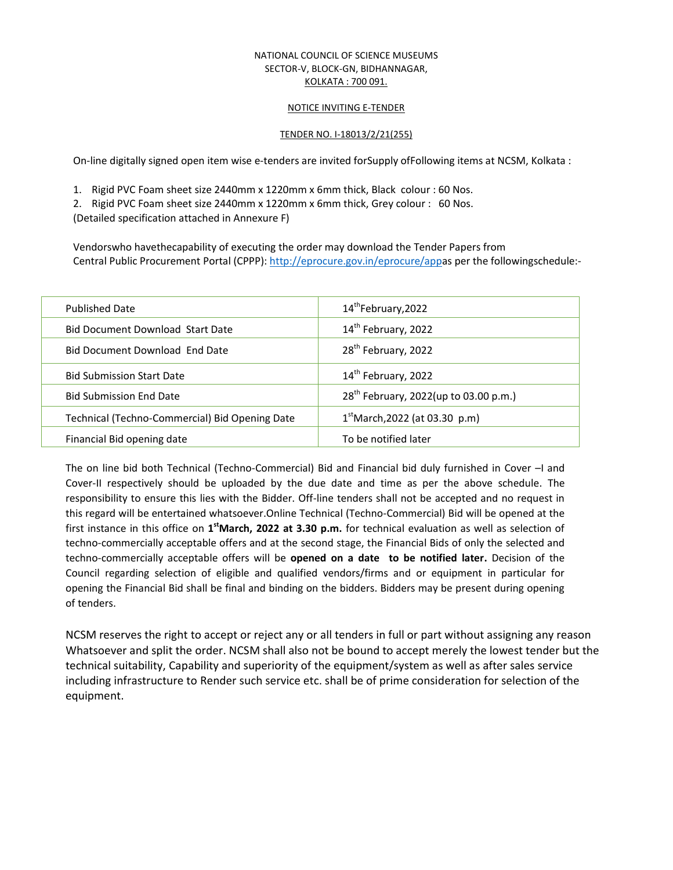#### NATIONAL COUNCIL OF SCIENCE MUSEUMS SECTOR-V, BLOCK-GN, BIDHANNAGAR, KOLKATA : 700 091.

#### NOTICE INVITING E-TENDER

#### TENDER NO. I-18013/2/21(255)

On-line digitally signed open item wise e-tenders are invited forSupply ofFollowing items at NCSM, Kolkata :

1. Rigid PVC Foam sheet size 2440mm x 1220mm x 6mm thick, Black colour : 60 Nos.

2. Rigid PVC Foam sheet size 2440mm x 1220mm x 6mm thick, Grey colour : 60 Nos.

(Detailed specification attached in Annexure F)

Vendorswho havethecapability of executing the order may download the Tender Papers from Central Public Procurement Portal (CPPP): http://eprocure.gov.in/eprocure/appas per the followingschedule:-

| <b>Published Date</b>                          | 14 <sup>th</sup> February, 2022                   |  |
|------------------------------------------------|---------------------------------------------------|--|
| <b>Bid Document Download Start Date</b>        | 14 <sup>th</sup> February, 2022                   |  |
| Bid Document Download End Date                 | 28 <sup>th</sup> February, 2022                   |  |
| <b>Bid Submission Start Date</b>               | 14 <sup>th</sup> February, 2022                   |  |
| <b>Bid Submission End Date</b>                 | 28 <sup>th</sup> February, 2022(up to 03.00 p.m.) |  |
| Technical (Techno-Commercial) Bid Opening Date | $1st$ March, 2022 (at 03.30 p.m)                  |  |
| Financial Bid opening date                     | To be notified later                              |  |

The on line bid both Technical (Techno-Commercial) Bid and Financial bid duly furnished in Cover –I and Cover-II respectively should be uploaded by the due date and time as per the above schedule. The responsibility to ensure this lies with the Bidder. Off-line tenders shall not be accepted and no request in this regard will be entertained whatsoever.Online Technical (Techno-Commercial) Bid will be opened at the first instance in this office on 1<sup>st</sup>March, 2022 at 3.30 p.m. for technical evaluation as well as selection of techno-commercially acceptable offers and at the second stage, the Financial Bids of only the selected and techno-commercially acceptable offers will be **opened on a date to be notified later.** Decision of the Council regarding selection of eligible and qualified vendors/firms and or equipment in particular for opening the Financial Bid shall be final and binding on the bidders. Bidders may be present during opening of tenders.

NCSM reserves the right to accept or reject any or all tenders in full or part without assigning any reason Whatsoever and split the order. NCSM shall also not be bound to accept merely the lowest tender but the technical suitability, Capability and superiority of the equipment/system as well as after sales service including infrastructure to Render such service etc. shall be of prime consideration for selection of the equipment.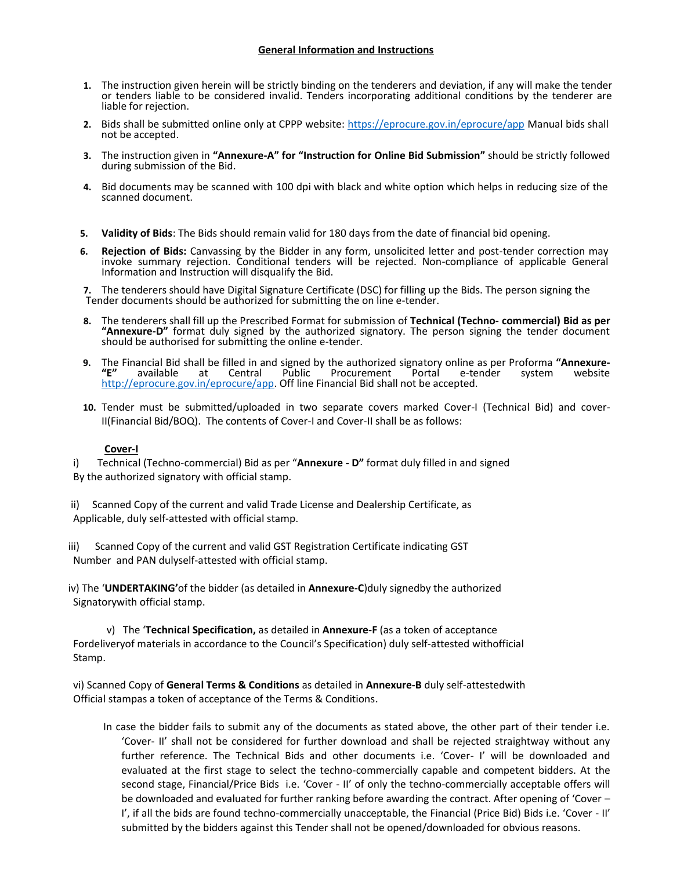- **1.** The instruction given herein will be strictly binding on the tenderers and deviation, if any will make the tender or tenders liable to be considered invalid. Tenders incorporating additional conditions by the tenderer are liable for rejection.
- **2.** Bids shall be submitted online only at CPPP website: https://eprocure.gov.in/eprocure/app Manual bids shall not be accepted.
- **3.** The instruction given in **"Annexure-A" for "Instruction for Online Bid Submission"** should be strictly followed during submission of the Bid.
- **4.** Bid documents may be scanned with 100 dpi with black and white option which helps in reducing size of the scanned document.
- **5. Validity of Bids**: The Bids should remain valid for 180 days from the date of financial bid opening.
- **6. Rejection of Bids:** Canvassing by the Bidder in any form, unsolicited letter and post-tender correction may invoke summary rejection. Conditional tenders will be rejected. Non-compliance of applicable General Information and Instruction will disqualify the Bid.

**7.** The tenderers should have Digital Signature Certificate (DSC) for filling up the Bids. The person signing the Tender documents should be authorized for submitting the on line e-tender.

- **8.** The tenderers shall fill up the Prescribed Format for submission of **Technical (Techno- commercial) Bid as per "Annexure-D"** format duly signed by the authorized signatory. The person signing the tender document should be authorised for submitting the online e-tender.
- **9.** The Financial Bid shall be filled in and signed by the authorized signatory online as per Proforma **"Annexure- "E"** available at Central Public Procurement Portal e-tender system website http://eprocure.gov.in/eprocure/app. Off line Financial Bid shall not be accepted.
- **10.** Tender must be submitted/uploaded in two separate covers marked Cover-I (Technical Bid) and cover-II(Financial Bid/BOQ). The contents of Cover-I and Cover-II shall be as follows:

## **Cover-I**

i) Technical (Techno-commercial) Bid as per "**Annexure - D"** format duly filled in and signed By the authorized signatory with official stamp.

- ii) Scanned Copy of the current and valid Trade License and Dealership Certificate, as Applicable, duly self-attested with official stamp.
- iii) Scanned Copy of the current and valid GST Registration Certificate indicating GST Number and PAN dulyself-attested with official stamp.

iv) The '**UNDERTAKING'**of the bidder (as detailed in **Annexure-C**)duly signedby the authorized Signatorywith official stamp.

v) The '**Technical Specification,** as detailed in **Annexure-F** (as a token of acceptance Fordeliveryof materials in accordance to the Council's Specification) duly self-attested withofficial Stamp.

vi) Scanned Copy of **General Terms & Conditions** as detailed in **Annexure-B** duly self-attestedwith Official stampas a token of acceptance of the Terms & Conditions.

In case the bidder fails to submit any of the documents as stated above, the other part of their tender i.e. 'Cover- II' shall not be considered for further download and shall be rejected straightway without any further reference. The Technical Bids and other documents i.e. 'Cover- I' will be downloaded and evaluated at the first stage to select the techno-commercially capable and competent bidders. At the second stage, Financial/Price Bids i.e. 'Cover - II' of only the techno-commercially acceptable offers will be downloaded and evaluated for further ranking before awarding the contract. After opening of 'Cover – I', if all the bids are found techno-commercially unacceptable, the Financial (Price Bid) Bids i.e. 'Cover - II' submitted by the bidders against this Tender shall not be opened/downloaded for obvious reasons.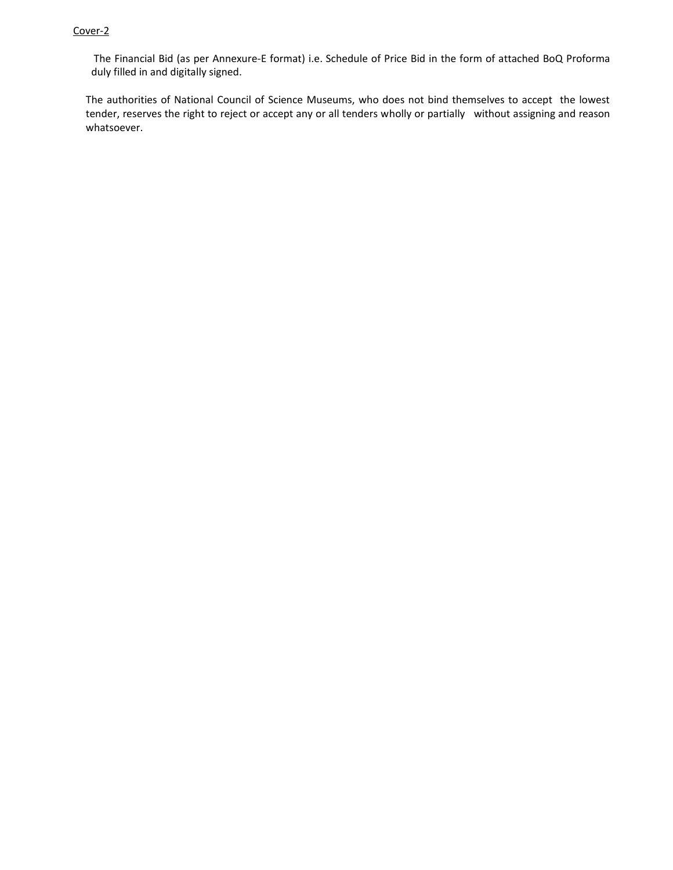#### Cover-2

The Financial Bid (as per Annexure-E format) i.e. Schedule of Price Bid in the form of attached BoQ Proforma duly filled in and digitally signed.

The authorities of National Council of Science Museums, who does not bind themselves to accept the lowest tender, reserves the right to reject or accept any or all tenders wholly or partially without assigning and reason whatsoever.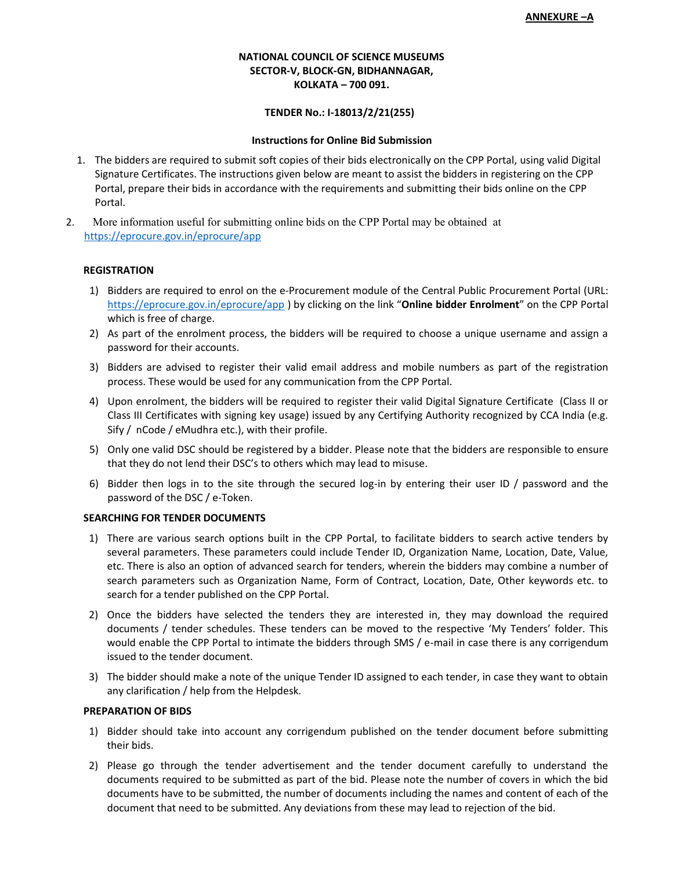#### **NATIONAL COUNCIL OF SCIENCE MUSEUMS SECTOR-V, BLOCK-GN, BIDHANNAGAR, KOLKATA – 700 091.**

#### **TENDER No.: I-18013/2/21(255)**

#### **Instructions for Online Bid Submission**

- 1. The bidders are required to submit soft copies of their bids electronically on the CPP Portal, using valid Digital Signature Certificates. The instructions given below are meant to assist the bidders in registering on the CPP Portal, prepare their bids in accordance with the requirements and submitting their bids online on the CPP Portal.
- 2. More information useful for submitting online bids on the CPP Portal may be obtained at https://eprocure.gov.in/eprocure/app

#### **REGISTRATION**

- 1) Bidders are required to enrol on the e-Procurement module of the Central Public Procurement Portal (URL: https://eprocure.gov.in/eprocure/app ) by clicking on the link "**Online bidder Enrolment**" on the CPP Portal which is free of charge.
- 2) As part of the enrolment process, the bidders will be required to choose a unique username and assign a password for their accounts.
- 3) Bidders are advised to register their valid email address and mobile numbers as part of the registration process. These would be used for any communication from the CPP Portal.
- 4) Upon enrolment, the bidders will be required to register their valid Digital Signature Certificate (Class II or Class III Certificates with signing key usage) issued by any Certifying Authority recognized by CCA India (e.g. Sify / nCode / eMudhra etc.), with their profile.
- 5) Only one valid DSC should be registered by a bidder. Please note that the bidders are responsible to ensure that they do not lend their DSC's to others which may lead to misuse.
- 6) Bidder then logs in to the site through the secured log-in by entering their user ID / password and the password of the DSC / e-Token.

#### **SEARCHING FOR TENDER DOCUMENTS**

- 1) There are various search options built in the CPP Portal, to facilitate bidders to search active tenders by several parameters. These parameters could include Tender ID, Organization Name, Location, Date, Value, etc. There is also an option of advanced search for tenders, wherein the bidders may combine a number of search parameters such as Organization Name, Form of Contract, Location, Date, Other keywords etc. to search for a tender published on the CPP Portal.
- 2) Once the bidders have selected the tenders they are interested in, they may download the required documents / tender schedules. These tenders can be moved to the respective 'My Tenders' folder. This would enable the CPP Portal to intimate the bidders through SMS / e-mail in case there is any corrigendum issued to the tender document.
- 3) The bidder should make a note of the unique Tender ID assigned to each tender, in case they want to obtain any clarification / help from the Helpdesk.

#### **PREPARATION OF BIDS**

- 1) Bidder should take into account any corrigendum published on the tender document before submitting their bids.
- 2) Please go through the tender advertisement and the tender document carefully to understand the documents required to be submitted as part of the bid. Please note the number of covers in which the bid documents have to be submitted, the number of documents including the names and content of each of the document that need to be submitted. Any deviations from these may lead to rejection of the bid.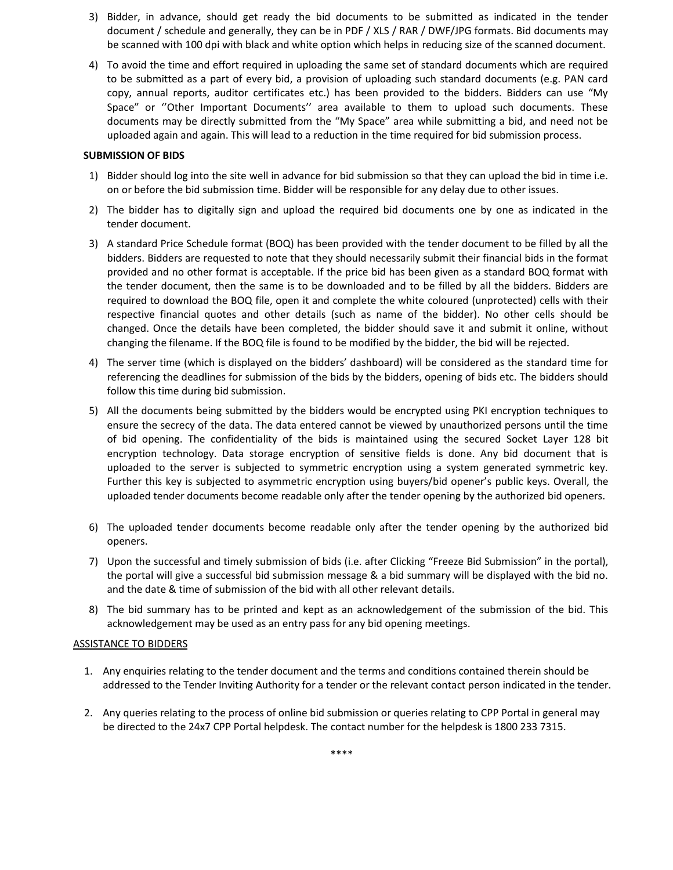- 3) Bidder, in advance, should get ready the bid documents to be submitted as indicated in the tender document / schedule and generally, they can be in PDF / XLS / RAR / DWF/JPG formats. Bid documents may be scanned with 100 dpi with black and white option which helps in reducing size of the scanned document.
- 4) To avoid the time and effort required in uploading the same set of standard documents which are required to be submitted as a part of every bid, a provision of uploading such standard documents (e.g. PAN card copy, annual reports, auditor certificates etc.) has been provided to the bidders. Bidders can use "My Space" or ''Other Important Documents'' area available to them to upload such documents. These documents may be directly submitted from the "My Space" area while submitting a bid, and need not be uploaded again and again. This will lead to a reduction in the time required for bid submission process.

### **SUBMISSION OF BIDS**

- 1) Bidder should log into the site well in advance for bid submission so that they can upload the bid in time i.e. on or before the bid submission time. Bidder will be responsible for any delay due to other issues.
- 2) The bidder has to digitally sign and upload the required bid documents one by one as indicated in the tender document.
- 3) A standard Price Schedule format (BOQ) has been provided with the tender document to be filled by all the bidders. Bidders are requested to note that they should necessarily submit their financial bids in the format provided and no other format is acceptable. If the price bid has been given as a standard BOQ format with the tender document, then the same is to be downloaded and to be filled by all the bidders. Bidders are required to download the BOQ file, open it and complete the white coloured (unprotected) cells with their respective financial quotes and other details (such as name of the bidder). No other cells should be changed. Once the details have been completed, the bidder should save it and submit it online, without changing the filename. If the BOQ file is found to be modified by the bidder, the bid will be rejected.
- 4) The server time (which is displayed on the bidders' dashboard) will be considered as the standard time for referencing the deadlines for submission of the bids by the bidders, opening of bids etc. The bidders should follow this time during bid submission.
- 5) All the documents being submitted by the bidders would be encrypted using PKI encryption techniques to ensure the secrecy of the data. The data entered cannot be viewed by unauthorized persons until the time of bid opening. The confidentiality of the bids is maintained using the secured Socket Layer 128 bit encryption technology. Data storage encryption of sensitive fields is done. Any bid document that is uploaded to the server is subjected to symmetric encryption using a system generated symmetric key. Further this key is subjected to asymmetric encryption using buyers/bid opener's public keys. Overall, the uploaded tender documents become readable only after the tender opening by the authorized bid openers.
- 6) The uploaded tender documents become readable only after the tender opening by the authorized bid openers.
- 7) Upon the successful and timely submission of bids (i.e. after Clicking "Freeze Bid Submission" in the portal), the portal will give a successful bid submission message & a bid summary will be displayed with the bid no. and the date & time of submission of the bid with all other relevant details.
- 8) The bid summary has to be printed and kept as an acknowledgement of the submission of the bid. This acknowledgement may be used as an entry pass for any bid opening meetings.

#### ASSISTANCE TO BIDDERS

- 1. Any enquiries relating to the tender document and the terms and conditions contained therein should be addressed to the Tender Inviting Authority for a tender or the relevant contact person indicated in the tender.
- 2. Any queries relating to the process of online bid submission or queries relating to CPP Portal in general may be directed to the 24x7 CPP Portal helpdesk. The contact number for the helpdesk is 1800 233 7315.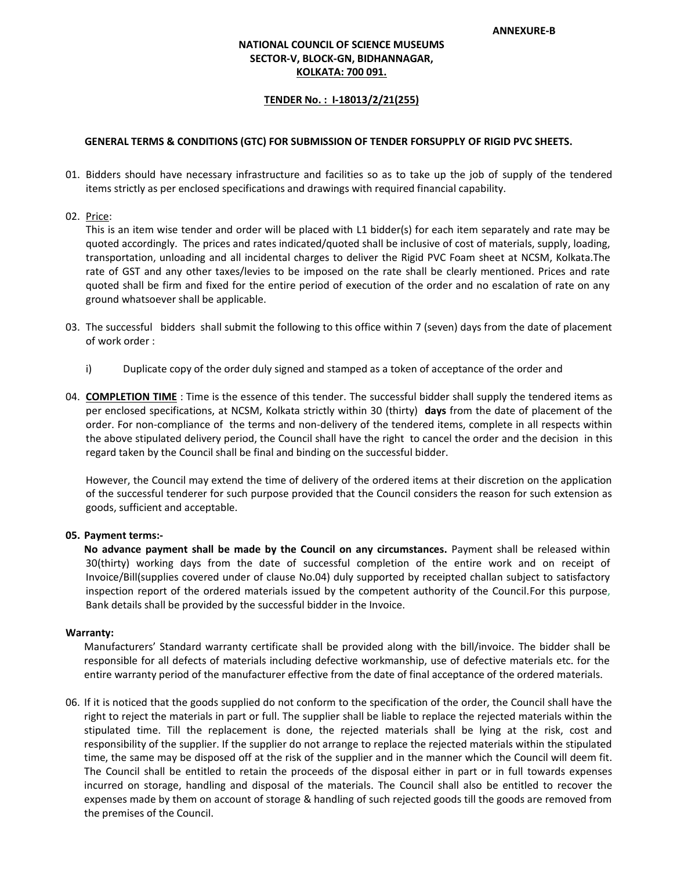## **NATIONAL COUNCIL OF SCIENCE MUSEUMS SECTOR-V, BLOCK-GN, BIDHANNAGAR, KOLKATA: 700 091.**

#### **TENDER No. : I-18013/2/21(255)**

#### **GENERAL TERMS & CONDITIONS (GTC) FOR SUBMISSION OF TENDER FORSUPPLY OF RIGID PVC SHEETS.**

- 01. Bidders should have necessary infrastructure and facilities so as to take up the job of supply of the tendered items strictly as per enclosed specifications and drawings with required financial capability.
- 02. Price:

This is an item wise tender and order will be placed with L1 bidder(s) for each item separately and rate may be quoted accordingly. The prices and rates indicated/quoted shall be inclusive of cost of materials, supply, loading, transportation, unloading and all incidental charges to deliver the Rigid PVC Foam sheet at NCSM, Kolkata.The rate of GST and any other taxes/levies to be imposed on the rate shall be clearly mentioned. Prices and rate quoted shall be firm and fixed for the entire period of execution of the order and no escalation of rate on any ground whatsoever shall be applicable.

- 03. The successful bidders shall submit the following to this office within 7 (seven) days from the date of placement of work order :
	- i) Duplicate copy of the order duly signed and stamped as a token of acceptance of the order and
- 04. **COMPLETION TIME** : Time is the essence of this tender. The successful bidder shall supply the tendered items as per enclosed specifications, at NCSM, Kolkata strictly within 30 (thirty) **days** from the date of placement of the order. For non-compliance of the terms and non-delivery of the tendered items, complete in all respects within the above stipulated delivery period, the Council shall have the right to cancel the order and the decision in this regard taken by the Council shall be final and binding on the successful bidder.

However, the Council may extend the time of delivery of the ordered items at their discretion on the application of the successful tenderer for such purpose provided that the Council considers the reason for such extension as goods, sufficient and acceptable.

#### **05. Payment terms:-**

**No advance payment shall be made by the Council on any circumstances.** Payment shall be released within 30(thirty) working days from the date of successful completion of the entire work and on receipt of Invoice/Bill(supplies covered under of clause No.04) duly supported by receipted challan subject to satisfactory inspection report of the ordered materials issued by the competent authority of the Council.For this purpose, Bank details shall be provided by the successful bidder in the Invoice.

#### **Warranty:**

Manufacturers' Standard warranty certificate shall be provided along with the bill/invoice. The bidder shall be responsible for all defects of materials including defective workmanship, use of defective materials etc. for the entire warranty period of the manufacturer effective from the date of final acceptance of the ordered materials.

06. If it is noticed that the goods supplied do not conform to the specification of the order, the Council shall have the right to reject the materials in part or full. The supplier shall be liable to replace the rejected materials within the stipulated time. Till the replacement is done, the rejected materials shall be lying at the risk, cost and responsibility of the supplier. If the supplier do not arrange to replace the rejected materials within the stipulated time, the same may be disposed off at the risk of the supplier and in the manner which the Council will deem fit. The Council shall be entitled to retain the proceeds of the disposal either in part or in full towards expenses incurred on storage, handling and disposal of the materials. The Council shall also be entitled to recover the expenses made by them on account of storage & handling of such rejected goods till the goods are removed from the premises of the Council.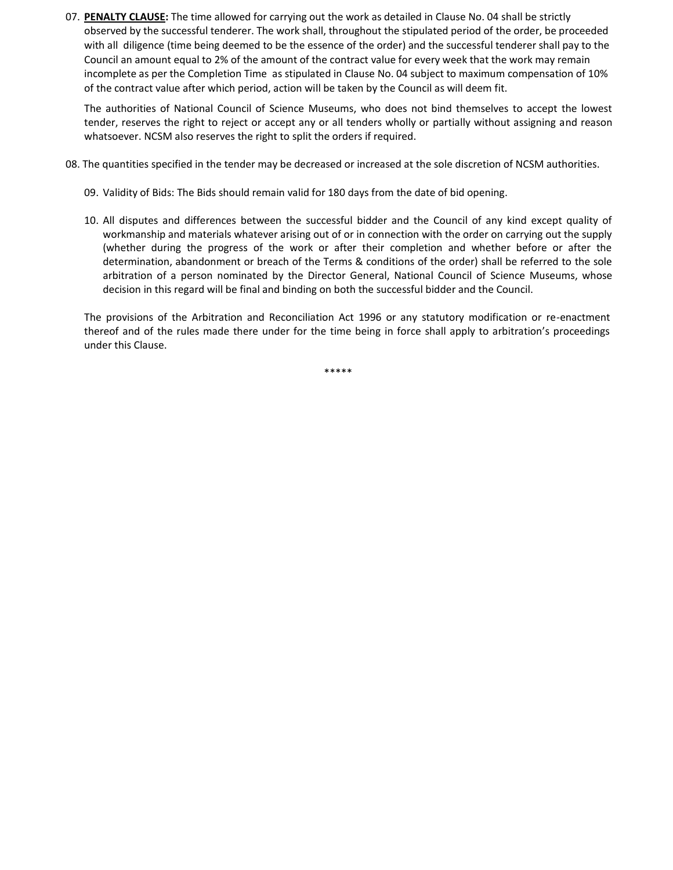07. **PENALTY CLAUSE:** The time allowed for carrying out the work as detailed in Clause No. 04 shall be strictly observed by the successful tenderer. The work shall, throughout the stipulated period of the order, be proceeded with all diligence (time being deemed to be the essence of the order) and the successful tenderer shall pay to the Council an amount equal to 2% of the amount of the contract value for every week that the work may remain incomplete as per the Completion Time as stipulated in Clause No. 04 subject to maximum compensation of 10% of the contract value after which period, action will be taken by the Council as will deem fit.

The authorities of National Council of Science Museums, who does not bind themselves to accept the lowest tender, reserves the right to reject or accept any or all tenders wholly or partially without assigning and reason whatsoever. NCSM also reserves the right to split the orders if required.

- 08. The quantities specified in the tender may be decreased or increased at the sole discretion of NCSM authorities.
	- 09. Validity of Bids: The Bids should remain valid for 180 days from the date of bid opening.
	- 10. All disputes and differences between the successful bidder and the Council of any kind except quality of workmanship and materials whatever arising out of or in connection with the order on carrying out the supply (whether during the progress of the work or after their completion and whether before or after the determination, abandonment or breach of the Terms & conditions of the order) shall be referred to the sole arbitration of a person nominated by the Director General, National Council of Science Museums, whose decision in this regard will be final and binding on both the successful bidder and the Council.

The provisions of the Arbitration and Reconciliation Act 1996 or any statutory modification or re-enactment thereof and of the rules made there under for the time being in force shall apply to arbitration's proceedings under this Clause.

\*\*\*\*\*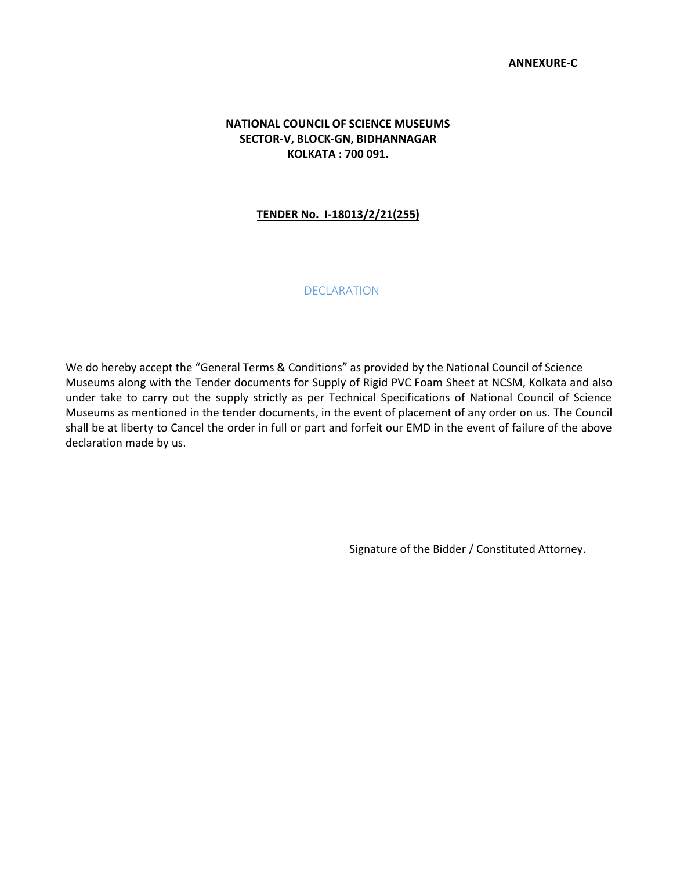## **NATIONAL COUNCIL OF SCIENCE MUSEUMS SECTOR-V, BLOCK-GN, BIDHANNAGAR KOLKATA : 700 091.**

## **TENDER No. I-18013/2/21(255)**

## **DECLARATION**

We do hereby accept the "General Terms & Conditions" as provided by the National Council of Science Museums along with the Tender documents for Supply of Rigid PVC Foam Sheet at NCSM, Kolkata and also under take to carry out the supply strictly as per Technical Specifications of National Council of Science Museums as mentioned in the tender documents, in the event of placement of any order on us. The Council shall be at liberty to Cancel the order in full or part and forfeit our EMD in the event of failure of the above declaration made by us.

Signature of the Bidder / Constituted Attorney.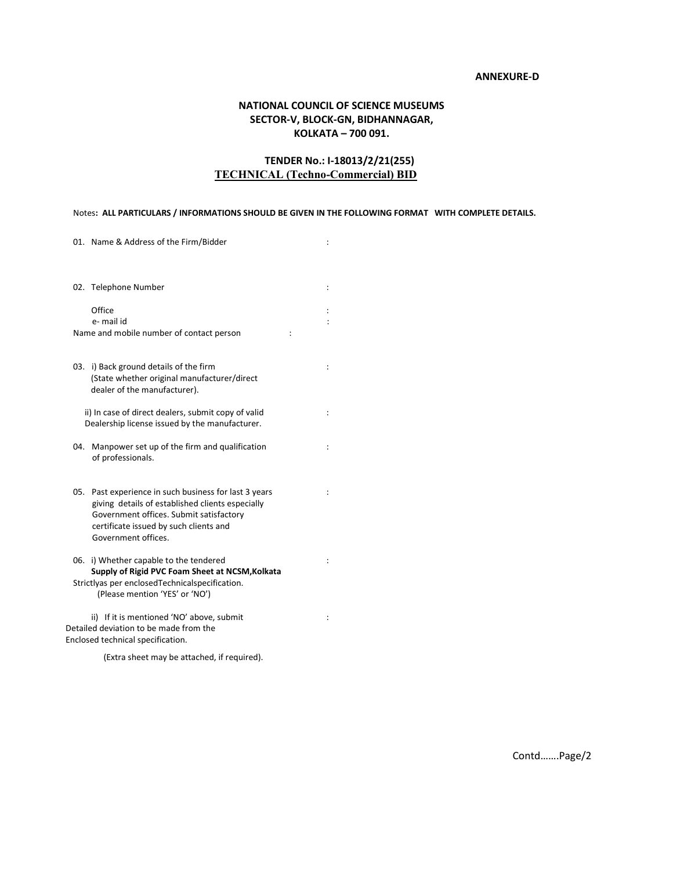#### **ANNEXURE-D**

## **NATIONAL COUNCIL OF SCIENCE MUSEUMS SECTOR-V, BLOCK-GN, BIDHANNAGAR, KOLKATA – 700 091.**

## **TENDER No.: I-18013/2/21(255) TECHNICAL (Techno-Commercial) BID**

#### Notes**: ALL PARTICULARS / INFORMATIONS SHOULD BE GIVEN IN THE FOLLOWING FORMAT WITH COMPLETE DETAILS.**

| 01. Name & Address of the Firm/Bidder                                                                                                                                                                                    |                      |
|--------------------------------------------------------------------------------------------------------------------------------------------------------------------------------------------------------------------------|----------------------|
| 02. Telephone Number                                                                                                                                                                                                     | ÷                    |
| Office                                                                                                                                                                                                                   |                      |
| e- mail id                                                                                                                                                                                                               |                      |
| Name and mobile number of contact person                                                                                                                                                                                 |                      |
| 03. i) Back ground details of the firm<br>(State whether original manufacturer/direct<br>dealer of the manufacturer).                                                                                                    | $\ddot{\cdot}$       |
| ii) In case of direct dealers, submit copy of valid<br>Dealership license issued by the manufacturer.                                                                                                                    | $\ddot{\cdot}$       |
| Manpower set up of the firm and qualification<br>04.<br>of professionals.                                                                                                                                                |                      |
| Past experience in such business for last 3 years<br>05.<br>giving details of established clients especially<br>Government offices. Submit satisfactory<br>certificate issued by such clients and<br>Government offices. | $\ddot{\cdot}$       |
| 06. i) Whether capable to the tendered<br>Supply of Rigid PVC Foam Sheet at NCSM, Kolkata<br>Strictlyas per enclosed Technical specification.<br>(Please mention 'YES' or 'NO')                                          |                      |
| ii) If it is mentioned 'NO' above, submit<br>Detailed deviation to be made from the<br>Enclosed technical specification.                                                                                                 | $\ddot{\phantom{a}}$ |

(Extra sheet may be attached, if required).

Contd…….Page/2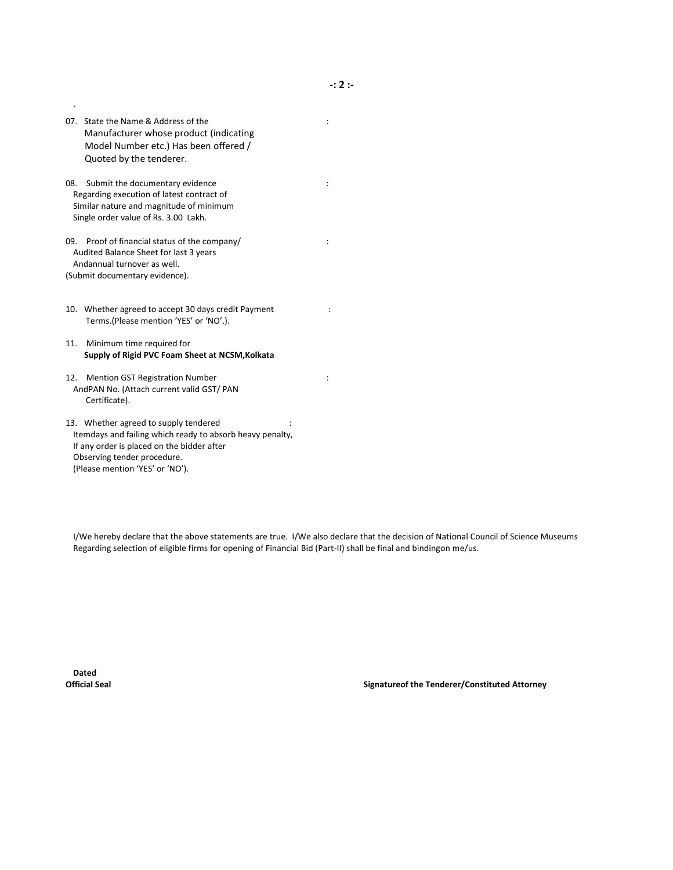07. State the Name & Address of the intervals of the intervals of the intervals of the intervals of the intervals of the intervals of the intervals of the intervals of the intervals of the intervals of the intervals of the Manufacturer whose product (indicating Model Number etc.) Has been offered / Quoted by the tenderer.

.

- 08. Submit the documentary evidence in the state of the state of the state of the state of the state of the state of the state of the state of the state of the state of the state of the state of the state of the state of t Regarding execution of latest contract of Similar nature and magnitude of minimum Single order value of Rs. 3.00 Lakh.
- 09. Proof of financial status of the company/ : Audited Balance Sheet for last 3 years Andannual turnover as well. (Submit documentary evidence).
- 10. Whether agreed to accept 30 days credit Payment : Terms.(Please mention 'YES' or 'NO'.).
- 11. Minimum time required for **Supply of Rigid PVC Foam Sheet at NCSM,Kolkata**
- 12. Mention GST Registration Number : AndPAN No. (Attach current valid GST/ PAN Certificate).
- 13. Whether agreed to supply tendered : Itemdays and failing which ready to absorb heavy penalty, If any order is placed on the bidder after Observing tender procedure. (Please mention 'YES' or 'NO').

I/We hereby declare that the above statements are true. I/We also declare that the decision of National Council of Science Museums Regarding selection of eligible firms for opening of Financial Bid (Part-II) shall be final and bindingon me/us.

**Dated**

**Official Seal Signatureof the Tenderer/Constituted Attorney**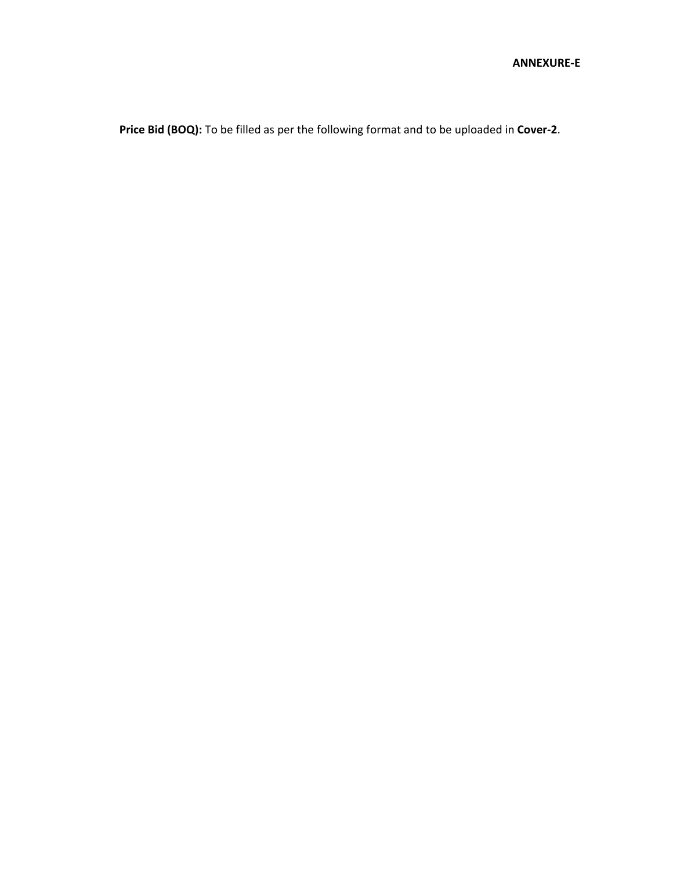**Price Bid (BOQ):** To be filled as per the following format and to be uploaded in **Cover-2**.